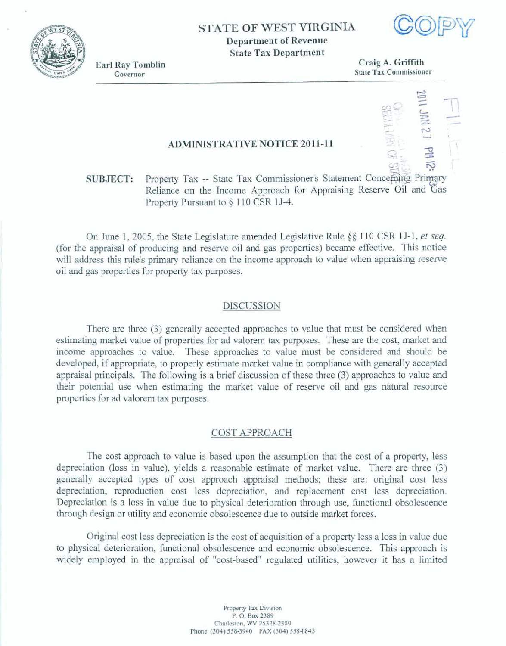**STATE OF WEST VIRGINIA** 

**Department of Revenue St ate Tax Department** 

**Earl Ray Tomblin** Governor

 $Craig A.$  Griffith **State** *Tan* Commissioner

## **ADMINISTRATIVE NOTICE 2011-11**

# **SUBJECT:** Property Tax -- State Tax Commissioner's Statement Concerning Pr **Reliance on the** Income **Approach for Appraising** Reserve Oil **and**  Property Pursuant **to 9** 1 10 CSR **1 J-4.**

**On** June 1,2005, the **State Legislature** amended **Legislative Rule \$9** 1 1 0 **CSR** 1 J- **1,** *et* **seq. (for** the **appmsal** of **producing** and **reserve oil and gas properties) became effective. This notice**  will address this rule's primary reliance on the income approach to value when appraising reserve oil and **gas properties for property tax purposes.** 

#### **DISCUSSION**

There are **three (3)** generally **accepted approaches** to value that must be **comidered** when **estimating market** vdue **of properties for ad** valorem tax **purposes.** These **are the cost, market and**  income approaches to value. These approaches to value must be considered and should be **developed, if** appropriate, **to properly estimate market value** in compliance with generally **acceptad appraisal principals.** The following **is** a. brief discussion of **these** *three* **(3) approaches** to value and their potential use when estimating the market value of reserve oil and gas natural resource properties **for ad** valorem tax **purposes,** 

### **COST APPROACH**

**The** *cost* **approach to value** is **based up the** assumption that **the** cost **of a property, less depreciation (loss** in **value), yields a reasonable estimate** of **market value. There are three (3) generally accepted** types of **cost approach appraisal methods; these are: orieal cost less**  depreciation, reproduction cost less depreciation, and replacement cost less depreciation. Depreciation is a loss in value due to physical deterioration through use, functional obsolescence through design or **utility ad** economic obsolescence **due** to **outside market forces.** 

**Original cost less** depreciation is the **cost of acquisition of a property less a loss in value due**  to **physical** deterioration, functional **obsolescence and ecanomic obsolescence. This approach** is **widely emplayed** in the **appraisal of "cost-based" regulated utilities,** however **it** has **a Iimited** 



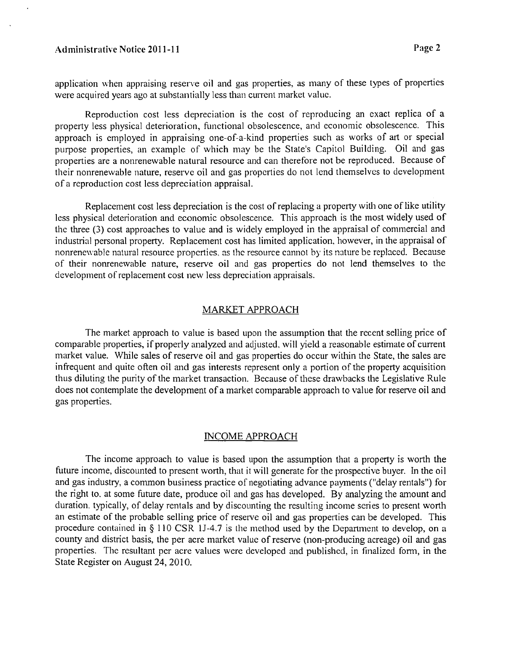application when appraising reserve oil and gas properties, as many of these types of properties were acquired years ago at substantially less than current market value.

Reproduction cost less depreciation is the cost of reproducing an exact replica of a property less physical deterioration, fiinctional obsolescence, and economic obsolescence. This approach is employed in appraising one-of-a-kind properties such as works of art or special purpose properties, an example of which may be the State's Capitol Building. Oil and gas properties are a nonrenewable natural resource and can therefore not be reproduced. Because of their nonrenewable nature, reservc oil and gas propcrties do not lend themselves to development of a reproduction cost less depreciation appraisal.

Replacement cost less depreciation is the cost of replacing a property with one of like utility less physical deterioration and economic obsolescence. This approach is the most widely used of the three (3) cost approaches to value and is widely employed in the appraisal of commercial and industrial personal property. Replacement cost has limited application, however, in the appraisal of nonrenewable natural resource properties, as the resource cannot by its nature be replaced. Because of their nonrenewable nature, reserve oil and gas properties do not lend themselves to the development of replacement cost new less depreciation appraisals.

## MARKET APPROACH

The market approach to value is based upon the assumption that the recent selling price of comparable properties, if properly analyzed and adjusted, will yield a reasonable estimate of current market value. While sales of reserve oil and gas properties do occur within the State, the sales are infrequent and quite often oil and gas interests represent only a portion of the property acquisition thus diluting the purity of the market transaction. Because of these drawbacks the Legislative Rule does not contemplate the development of a market comparable approach to value for reserve oil and gas properties.

### NCOME APPROACH

The income approach to value is based upon the assumption that a property is worth the future income, discounted to present worth, that it will generate for the prospective buyer. In the oil and gas industry, a common business practice of negotiating advance payments ("delay rentals") for the right to. at some hture date, produce oil and gas has developed. By analyzing the amount and duration. typically, of delay rentals and by discounting the resulting income series to present worth an estimate of the probable selling price of reserve oil and gas properties can be developed. This procedure contained in  $\S$  110 CSR 1J-4.7 is the method used by the Department to develop, on a county and district basis, the per acre market value of reserve (non-producing acreage) oil and gas properties. The resultant per acre values were developed and published, in finalized form, in the State Register on August 24, 2010.